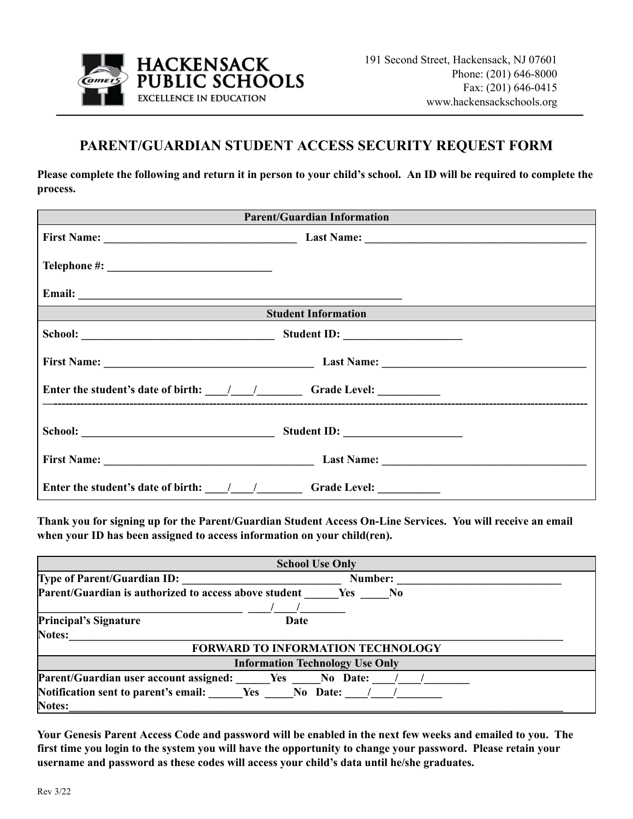

## **PARENT/GUARDIAN STUDENT ACCESS SECURITY REQUEST FORM**

Please complete the following and return it in person to your child's school. An ID will be required to complete the **process.**

| <b>Parent/Guardian Information</b>                                                                                                          |  |  |  |
|---------------------------------------------------------------------------------------------------------------------------------------------|--|--|--|
|                                                                                                                                             |  |  |  |
|                                                                                                                                             |  |  |  |
|                                                                                                                                             |  |  |  |
| Student Information<br><u> 1989 - Jan Sterling van die Sterling van die Sterling van die Sterling van die Sterling van die Sterling van</u> |  |  |  |
|                                                                                                                                             |  |  |  |
|                                                                                                                                             |  |  |  |
|                                                                                                                                             |  |  |  |
|                                                                                                                                             |  |  |  |
|                                                                                                                                             |  |  |  |
| Enter the student's date of birth: $\frac{1}{\frac{1}{2}}$ $\frac{1}{\frac{1}{2}}$ Grade Level:                                             |  |  |  |

Thank you for signing up for the Parent/Guardian Student Access On-Line Services. You will receive an email **when your ID has been assigned to access information on your child(ren).**

| <b>School Use Only</b>                                                         |         |  |
|--------------------------------------------------------------------------------|---------|--|
| <b>Type of Parent/Guardian ID:</b>                                             | Number: |  |
| Parent/Guardian is authorized to access above student<br>Yes<br>N <sub>0</sub> |         |  |
|                                                                                |         |  |
| <b>Principal's Signature</b>                                                   | Date    |  |
| <b>Notes:</b>                                                                  |         |  |
| <b>FORWARD TO INFORMATION TECHNOLOGY</b>                                       |         |  |
| <b>Information Technology Use Only</b>                                         |         |  |
| Parent/Guardian user account assigned: Ves No Date:                            |         |  |
| <b>Notification sent to parent's email:</b> Yes No Date: / /                   |         |  |
| Notes:                                                                         |         |  |

Your Genesis Parent Access Code and password will be enabled in the next few weeks and emailed to you. The first time you login to the system you will have the opportunity to change your password. Please retain your **username and password as these codes will access your child's data until he/she graduates.**